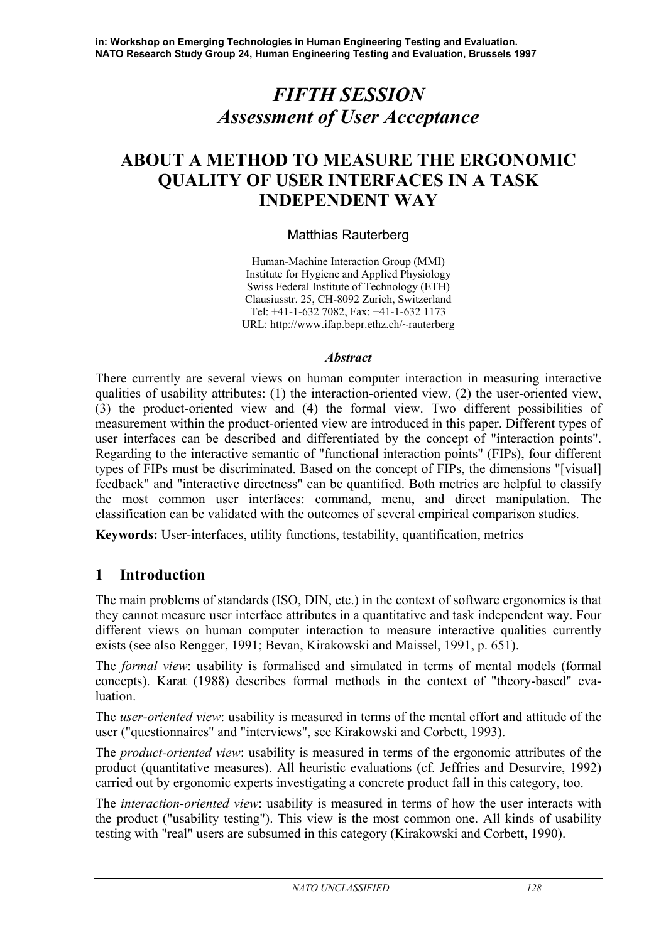# *FIFTH SESSION Assessment of User Acceptance*

# **ABOUT A METHOD TO MEASURE THE ERGONOMIC QUALITY OF USER INTERFACES IN A TASK INDEPENDENT WAY**

### Matthias Rauterberg

Human-Machine Interaction Group (MMI) Institute for Hygiene and Applied Physiology Swiss Federal Institute of Technology (ETH) Clausiusstr. 25, CH-8092 Zurich, Switzerland Tel: +41-1-632 7082, Fax: +41-1-632 1173 URL: http://www.ifap.bepr.ethz.ch/~rauterberg

#### *Abstract*

There currently are several views on human computer interaction in measuring interactive qualities of usability attributes: (1) the interaction-oriented view, (2) the user-oriented view, (3) the product-oriented view and (4) the formal view. Two different possibilities of measurement within the product-oriented view are introduced in this paper. Different types of user interfaces can be described and differentiated by the concept of "interaction points". Regarding to the interactive semantic of "functional interaction points" (FIPs), four different types of FIPs must be discriminated. Based on the concept of FIPs, the dimensions "[visual] feedback" and "interactive directness" can be quantified. Both metrics are helpful to classify the most common user interfaces: command, menu, and direct manipulation. The classification can be validated with the outcomes of several empirical comparison studies.

**Keywords:** User-interfaces, utility functions, testability, quantification, metrics

# **1 Introduction**

The main problems of standards (ISO, DIN, etc.) in the context of software ergonomics is that they cannot measure user interface attributes in a quantitative and task independent way. Four different views on human computer interaction to measure interactive qualities currently exists (see also Rengger, 1991; Bevan, Kirakowski and Maissel, 1991, p. 651).

The *formal view*: usability is formalised and simulated in terms of mental models (formal concepts). Karat (1988) describes formal methods in the context of "theory-based" evaluation.

The *user-oriented view*: usability is measured in terms of the mental effort and attitude of the user ("questionnaires" and "interviews", see Kirakowski and Corbett, 1993).

The *product-oriented view*: usability is measured in terms of the ergonomic attributes of the product (quantitative measures). All heuristic evaluations (cf. Jeffries and Desurvire, 1992) carried out by ergonomic experts investigating a concrete product fall in this category, too.

The *interaction-oriented view*: usability is measured in terms of how the user interacts with the product ("usability testing"). This view is the most common one. All kinds of usability testing with "real" users are subsumed in this category (Kirakowski and Corbett, 1990).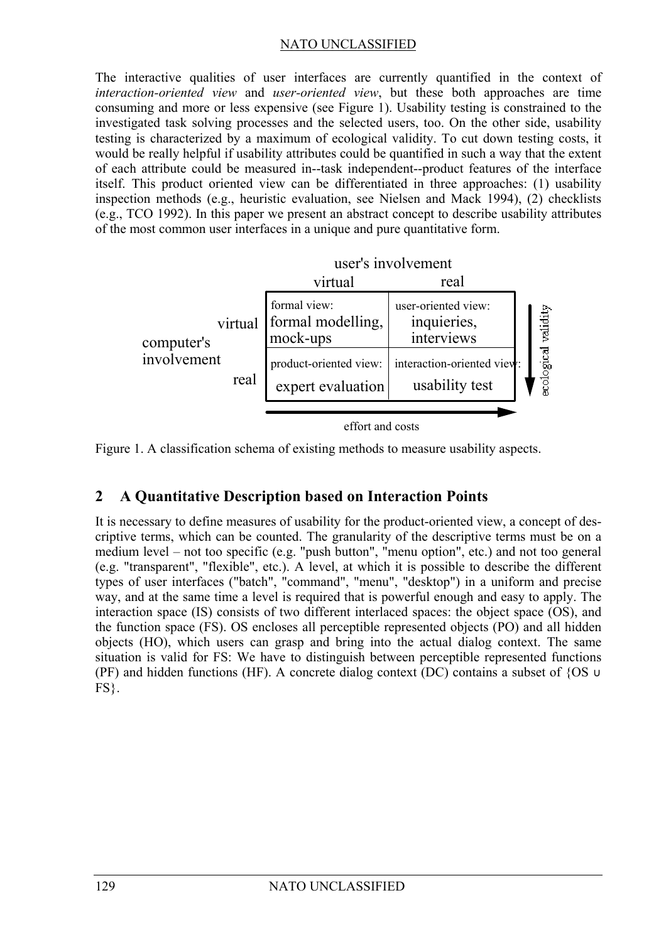The interactive qualities of user interfaces are currently quantified in the context of *interaction-oriented view* and *user-oriented view*, but these both approaches are time consuming and more or less expensive (see Figure 1). Usability testing is constrained to the investigated task solving processes and the selected users, too. On the other side, usability testing is characterized by a maximum of ecological validity. To cut down testing costs, it would be really helpful if usability attributes could be quantified in such a way that the extent of each attribute could be measured in--task independent--product features of the interface itself. This product oriented view can be differentiated in three approaches: (1) usability inspection methods (e.g., heuristic evaluation, see Nielsen and Mack 1994), (2) checklists (e.g., TCO 1992). In this paper we present an abstract concept to describe usability attributes of the most common user interfaces in a unique and pure quantitative form.



effort and costs

Figure 1. A classification schema of existing methods to measure usability aspects.

# **2 A Quantitative Description based on Interaction Points**

It is necessary to define measures of usability for the product-oriented view, a concept of descriptive terms, which can be counted. The granularity of the descriptive terms must be on a medium level – not too specific (e.g. "push button", "menu option", etc.) and not too general (e.g. "transparent", "flexible", etc.). A level, at which it is possible to describe the different types of user interfaces ("batch", "command", "menu", "desktop") in a uniform and precise way, and at the same time a level is required that is powerful enough and easy to apply. The interaction space (IS) consists of two different interlaced spaces: the object space (OS), and the function space (FS). OS encloses all perceptible represented objects (PO) and all hidden objects (HO), which users can grasp and bring into the actual dialog context. The same situation is valid for FS: We have to distinguish between perceptible represented functions (PF) and hidden functions (HF). A concrete dialog context (DC) contains a subset of {OS  $\cup$  $FS$ .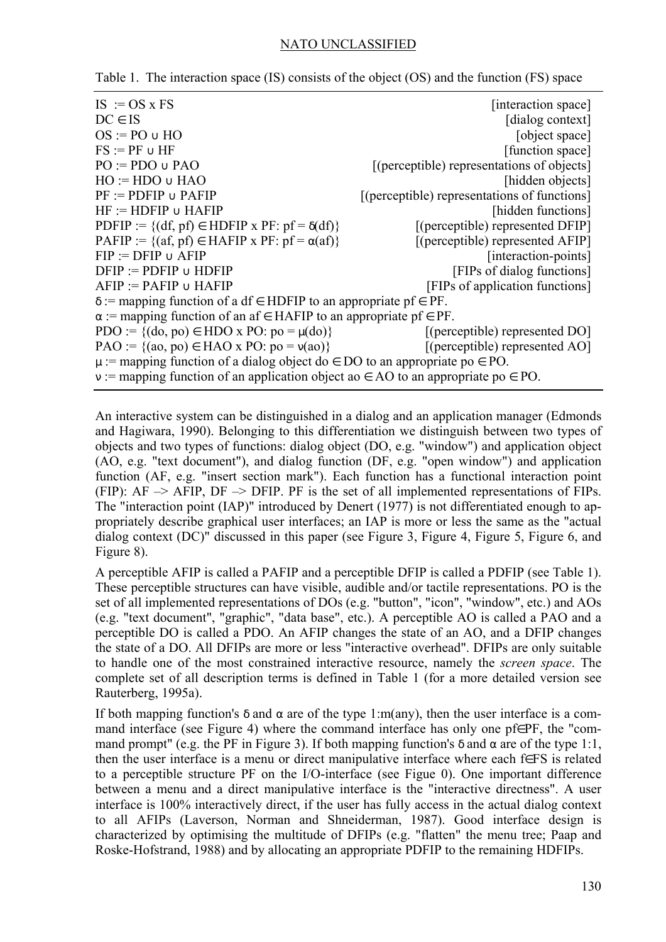| $IS := OS \times FS$                                                                        | [interaction space]                          |  |  |  |
|---------------------------------------------------------------------------------------------|----------------------------------------------|--|--|--|
| $DC \in IS$                                                                                 | [dialog context]                             |  |  |  |
| $OS := PO \cup HO$                                                                          | [object space]                               |  |  |  |
| $FS := PF \cup HF$                                                                          | [function space]                             |  |  |  |
| $PO := PDO \cup PAO$                                                                        | [(perceptible) representations of objects]   |  |  |  |
| $HO := HDO \cup HAO$                                                                        | [hidden objects]                             |  |  |  |
| $PF := PDFIP \cup PAFIP$                                                                    | [(perceptible) representations of functions] |  |  |  |
| $HF := HDFIP \cup HAFIP$                                                                    | [hidden functions]                           |  |  |  |
| PDFIP := $\{(df, pf) \in HDFIP x PF : pf = \delta(df)\}$                                    | [(perceptible) represented DFIP]             |  |  |  |
| PAFIP := $\{(af, pf) \in HAFIP x PF: pf = \alpha(af)\}\$                                    | [(perceptible) represented AFIP]             |  |  |  |
| $FIP := DFTP \cup AFIP$                                                                     | [interaction-points]                         |  |  |  |
| $DFIP := PDFIP \cup HDFIP$                                                                  | [FIPs of dialog functions]                   |  |  |  |
| $AFIP := PAFIP \cup HAFIP$                                                                  | [FIPs of application functions]              |  |  |  |
| $\delta$ := mapping function of a df $\epsilon$ HDFIP to an appropriate pf $\epsilon$ PF.   |                                              |  |  |  |
| $\alpha$ := mapping function of an af $\in$ HAFIP to an appropriate pf $\in$ PF.            |                                              |  |  |  |
| PDO := { $(do, po) \in HDO x PO$ : $po = \mu(do)$ }                                         | $[$ (perceptible) represented DO $]$         |  |  |  |
| $PAO := \{(ao, po) \in HAO \times PO: po = v(ao)\}\$                                        | $[$ (perceptible) represented AO $]$         |  |  |  |
| $\mu$ := mapping function of a dialog object do $\in$ DO to an appropriate po $\in$ PO.     |                                              |  |  |  |
| $v :=$ mapping function of an application object ao $\in$ AO to an appropriate po $\in$ PO. |                                              |  |  |  |

Table 1. The interaction space (IS) consists of the object (OS) and the function (FS) space

An interactive system can be distinguished in a dialog and an application manager (Edmonds and Hagiwara, 1990). Belonging to this differentiation we distinguish between two types of objects and two types of functions: dialog object (DO, e.g. "window") and application object (AO, e.g. "text document"), and dialog function (DF, e.g. "open window") and application function (AF, e.g. "insert section mark"). Each function has a functional interaction point (FIP):  $AF \rightarrow AFIP$ ,  $DF \rightarrow DFIP$ . PF is the set of all implemented representations of FIPs. The "interaction point (IAP)" introduced by Denert (1977) is not differentiated enough to appropriately describe graphical user interfaces; an IAP is more or less the same as the "actual dialog context (DC)" discussed in this paper (see Figure 3, Figure 4, Figure 5, Figure 6, and Figure 8).

A perceptible AFIP is called a PAFIP and a perceptible DFIP is called a PDFIP (see Table 1). These perceptible structures can have visible, audible and/or tactile representations. PO is the set of all implemented representations of DOs (e.g. "button", "icon", "window", etc.) and AOs (e.g. "text document", "graphic", "data base", etc.). A perceptible AO is called a PAO and a perceptible DO is called a PDO. An AFIP changes the state of an AO, and a DFIP changes the state of a DO. All DFIPs are more or less "interactive overhead". DFIPs are only suitable to handle one of the most constrained interactive resource, namely the *screen space*. The complete set of all description terms is defined in Table 1 (for a more detailed version see Rauterberg, 1995a).

If both mapping function's  $\delta$  and  $\alpha$  are of the type 1:m(any), then the user interface is a command interface (see Figure 4) where the command interface has only one pf∈PF, the "command prompt" (e.g. the PF in Figure 3). If both mapping function's  $\delta$  and  $\alpha$  are of the type 1:1, then the user interface is a menu or direct manipulative interface where each f∈FS is related to a perceptible structure PF on the I/O-interface (see Figue 0). One important difference between a menu and a direct manipulative interface is the "interactive directness". A user interface is 100% interactively direct, if the user has fully access in the actual dialog context to all AFIPs (Laverson, Norman and Shneiderman, 1987). Good interface design is characterized by optimising the multitude of DFIPs (e.g. "flatten" the menu tree; Paap and Roske-Hofstrand, 1988) and by allocating an appropriate PDFIP to the remaining HDFIPs.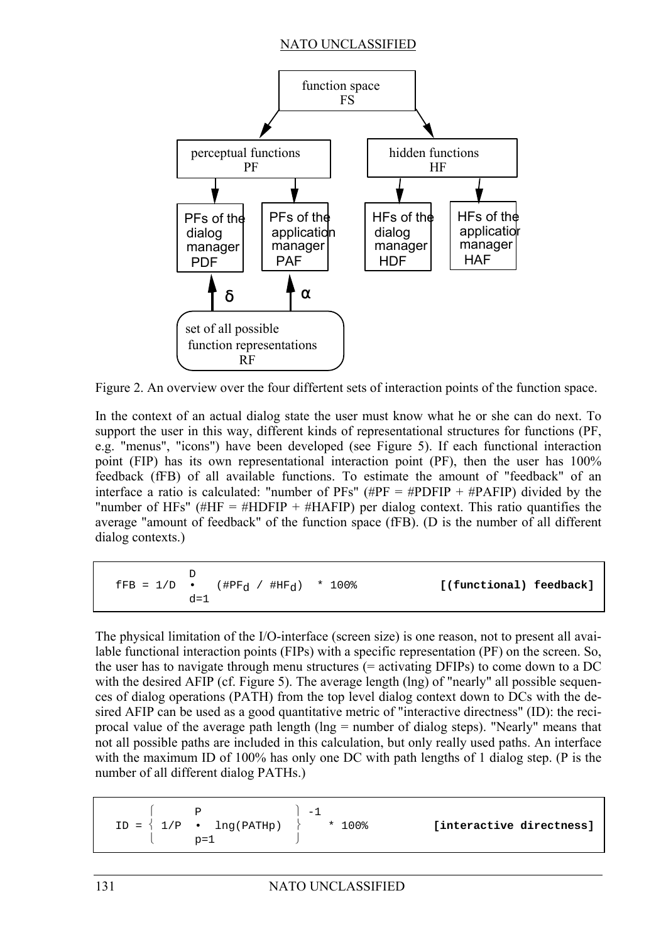

Figure 2. An overview over the four differtent sets of interaction points of the function space.

In the context of an actual dialog state the user must know what he or she can do next. To support the user in this way, different kinds of representational structures for functions (PF, e.g. "menus", "icons") have been developed (see Figure 5). If each functional interaction point (FIP) has its own representational interaction point (PF), then the user has 100% feedback (fFB) of all available functions. To estimate the amount of "feedback" of an interface a ratio is calculated: "number of PFs" ( $\#PF = \# PDFIP + \# PAFIP$ ) divided by the "number of HFs" (#HF = #HDFIP + #HAFIP) per dialog context. This ratio quantifies the average "amount of feedback" of the function space (fFB). (D is the number of all different dialog contexts.)

$$
\text{FFB} = 1/D \cdot (\text{HPF}_d / \text{HHF}_d) \cdot 100\text{*} \quad \text{[(functional) feedback]}
$$

The physical limitation of the I/O-interface (screen size) is one reason, not to present all available functional interaction points (FIPs) with a specific representation (PF) on the screen. So, the user has to navigate through menu structures (= activating DFIPs) to come down to a DC with the desired AFIP (cf. Figure 5). The average length (lng) of "nearly" all possible sequences of dialog operations (PATH) from the top level dialog context down to DCs with the desired AFIP can be used as a good quantitative metric of "interactive directness" (ID): the reciprocal value of the average path length (lng = number of dialog steps). "Nearly" means that not all possible paths are included in this calculation, but only really used paths. An interface with the maximum ID of 100% has only one DC with path lengths of 1 dialog step. (P is the number of all different dialog PATHs.)

| $\mathbf{p}$                                                   | $-1$      |                          |
|----------------------------------------------------------------|-----------|--------------------------|
| $ID = \left\{ 1/P \cdot \text{ } Ing(PATHp) \right\}$<br>$p=1$ | $* 100$ % | [interactive directness] |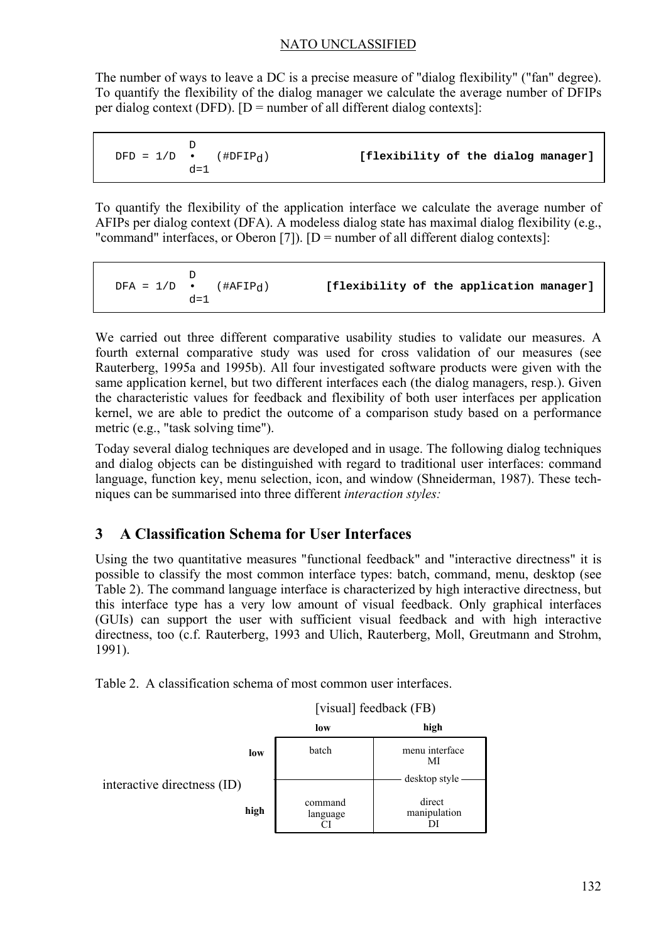The number of ways to leave a DC is a precise measure of "dialog flexibility" ("fan" degree). To quantify the flexibility of the dialog manager we calculate the average number of DFIPs per dialog context (DFD).  $[D = number of all different dialog contexts]$ :

|  | $DFD = 1/D \bullet$ (# $DFIP_d$ )<br>$d = 1$ |  | [flexibility of the dialog manager] |  |  |  |  |
|--|----------------------------------------------|--|-------------------------------------|--|--|--|--|
|--|----------------------------------------------|--|-------------------------------------|--|--|--|--|

To quantify the flexibility of the application interface we calculate the average number of AFIPs per dialog context (DFA). A modeless dialog state has maximal dialog flexibility (e.g., "command" interfaces, or Oberon [7]).  $[D]$  = number of all different dialog contexts]:

 D DFA =  $1/D$  • (#AFIP<sub>d</sub>) **[flexibility of the application manager]**  $d=1$ 

We carried out three different comparative usability studies to validate our measures. A fourth external comparative study was used for cross validation of our measures (see Rauterberg, 1995a and 1995b). All four investigated software products were given with the same application kernel, but two different interfaces each (the dialog managers, resp.). Given the characteristic values for feedback and flexibility of both user interfaces per application kernel, we are able to predict the outcome of a comparison study based on a performance metric (e.g., "task solving time").

Today several dialog techniques are developed and in usage. The following dialog techniques and dialog objects can be distinguished with regard to traditional user interfaces: command language, function key, menu selection, icon, and window (Shneiderman, 1987). These techniques can be summarised into three different *interaction styles:*

# **3 A Classification Schema for User Interfaces**

Using the two quantitative measures "functional feedback" and "interactive directness" it is possible to classify the most common interface types: batch, command, menu, desktop (see Table 2). The command language interface is characterized by high interactive directness, but this interface type has a very low amount of visual feedback. Only graphical interfaces (GUIs) can support the user with sufficient visual feedback and with high interactive directness, too (c.f. Rauterberg, 1993 and Ulich, Rauterberg, Moll, Greutmann and Strohm, 1991).

Table 2. A classification schema of most common user interfaces.

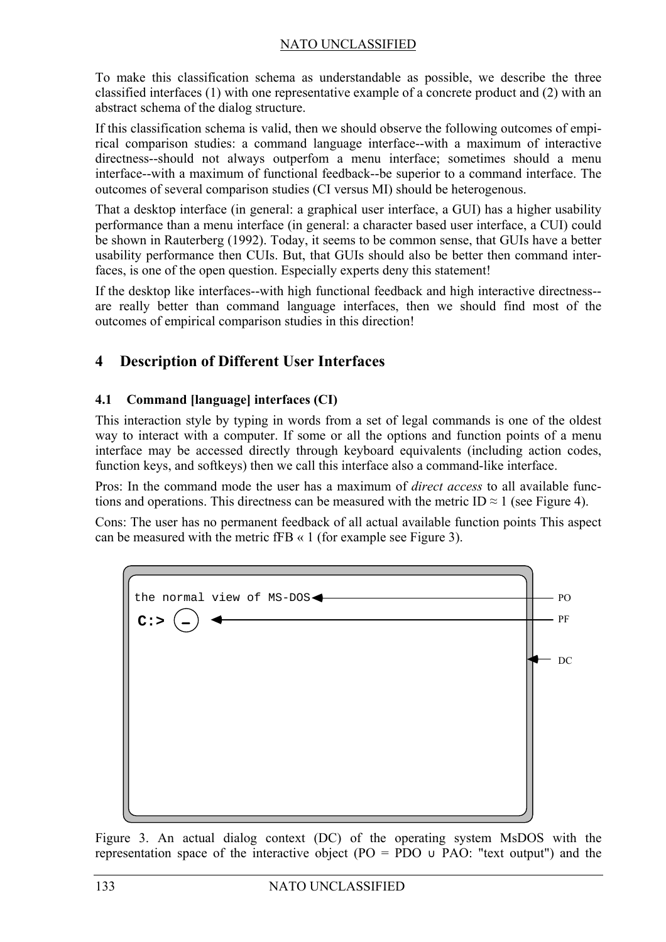To make this classification schema as understandable as possible, we describe the three classified interfaces (1) with one representative example of a concrete product and (2) with an abstract schema of the dialog structure.

If this classification schema is valid, then we should observe the following outcomes of empirical comparison studies: a command language interface--with a maximum of interactive directness--should not always outperfom a menu interface; sometimes should a menu interface--with a maximum of functional feedback--be superior to a command interface. The outcomes of several comparison studies (CI versus MI) should be heterogenous.

That a desktop interface (in general: a graphical user interface, a GUI) has a higher usability performance than a menu interface (in general: a character based user interface, a CUI) could be shown in Rauterberg (1992). Today, it seems to be common sense, that GUIs have a better usability performance then CUIs. But, that GUIs should also be better then command interfaces, is one of the open question. Especially experts deny this statement!

If the desktop like interfaces--with high functional feedback and high interactive directness- are really better than command language interfaces, then we should find most of the outcomes of empirical comparison studies in this direction!

# **4 Description of Different User Interfaces**

## **4.1 Command [language] interfaces (CI)**

This interaction style by typing in words from a set of legal commands is one of the oldest way to interact with a computer. If some or all the options and function points of a menu interface may be accessed directly through keyboard equivalents (including action codes, function keys, and softkeys) then we call this interface also a command-like interface.

Pros: In the command mode the user has a maximum of *direct access* to all available functions and operations. This directness can be measured with the metric ID  $\approx$  1 (see Figure 4).

Cons: The user has no permanent feedback of all actual available function points This aspect can be measured with the metric fFB « 1 (for example see Figure 3).



Figure 3. An actual dialog context (DC) of the operating system MsDOS with the representation space of the interactive object (PO = PDO  $\cup$  PAO: "text output") and the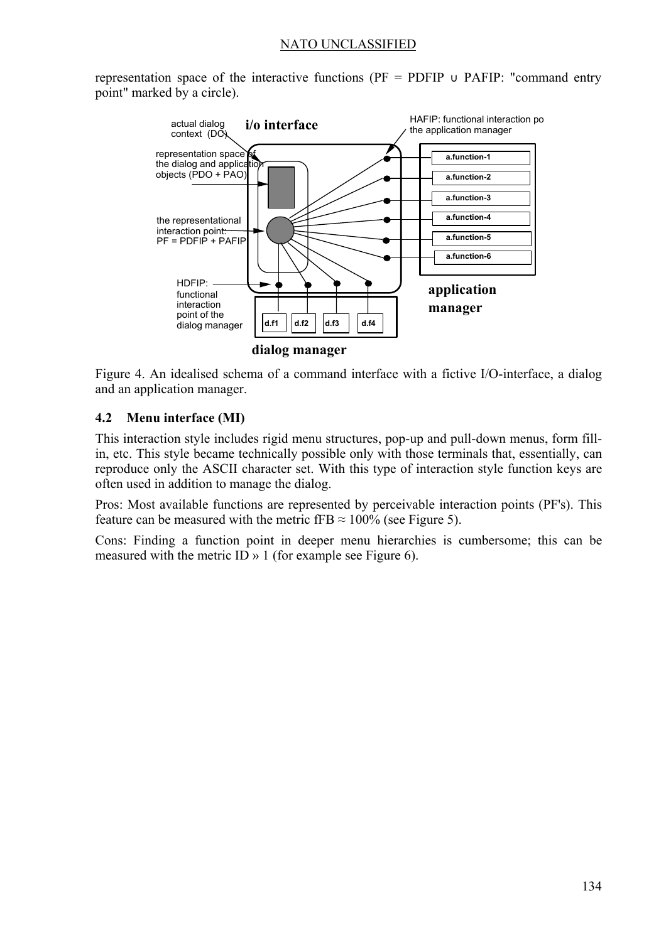representation space of the interactive functions ( $PF = PDFIP \cup PAFIP$ : "command entry point" marked by a circle).



Figure 4. An idealised schema of a command interface with a fictive I/O-interface, a dialog and an application manager.

#### **4.2 Menu interface (MI)**

This interaction style includes rigid menu structures, pop-up and pull-down menus, form fillin, etc. This style became technically possible only with those terminals that, essentially, can reproduce only the ASCII character set. With this type of interaction style function keys are often used in addition to manage the dialog.

Pros: Most available functions are represented by perceivable interaction points (PF's). This feature can be measured with the metric fFB  $\approx 100\%$  (see Figure 5).

Cons: Finding a function point in deeper menu hierarchies is cumbersome; this can be measured with the metric ID » 1 (for example see Figure 6).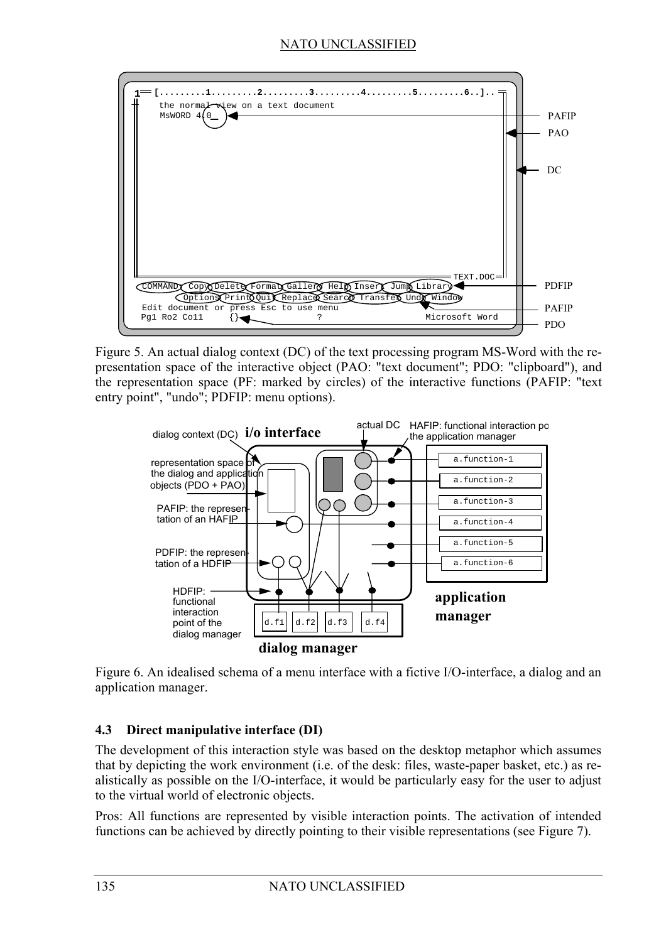

Figure 5. An actual dialog context (DC) of the text processing program MS-Word with the representation space of the interactive object (PAO: "text document"; PDO: "clipboard"), and the representation space (PF: marked by circles) of the interactive functions (PAFIP: "text entry point", "undo"; PDFIP: menu options).



Figure 6. An idealised schema of a menu interface with a fictive I/O-interface, a dialog and an application manager.

#### **4.3 Direct manipulative interface (DI)**

The development of this interaction style was based on the desktop metaphor which assumes that by depicting the work environment (i.e. of the desk: files, waste-paper basket, etc.) as realistically as possible on the I/O-interface, it would be particularly easy for the user to adjust to the virtual world of electronic objects.

Pros: All functions are represented by visible interaction points. The activation of intended functions can be achieved by directly pointing to their visible representations (see Figure 7).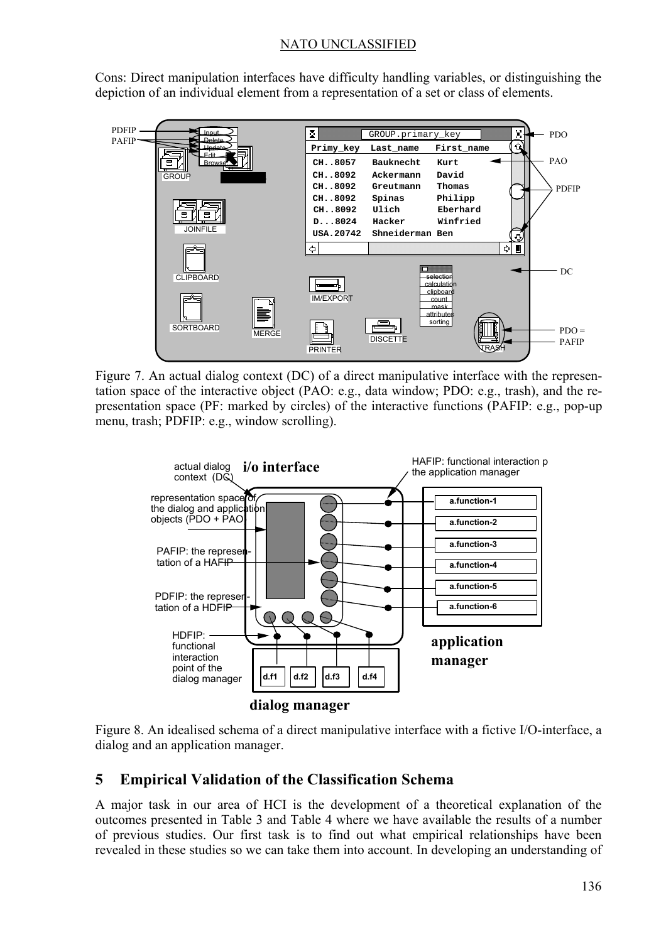Cons: Direct manipulation interfaces have difficulty handling variables, or distinguishing the depiction of an individual element from a representation of a set or class of elements.



Figure 7. An actual dialog context (DC) of a direct manipulative interface with the representation space of the interactive object (PAO: e.g., data window; PDO: e.g., trash), and the representation space (PF: marked by circles) of the interactive functions (PAFIP: e.g., pop-up menu, trash; PDFIP: e.g., window scrolling).



Figure 8. An idealised schema of a direct manipulative interface with a fictive I/O-interface, a dialog and an application manager.

# **5 Empirical Validation of the Classification Schema**

A major task in our area of HCI is the development of a theoretical explanation of the outcomes presented in Table 3 and Table 4 where we have available the results of a number of previous studies. Our first task is to find out what empirical relationships have been revealed in these studies so we can take them into account. In developing an understanding of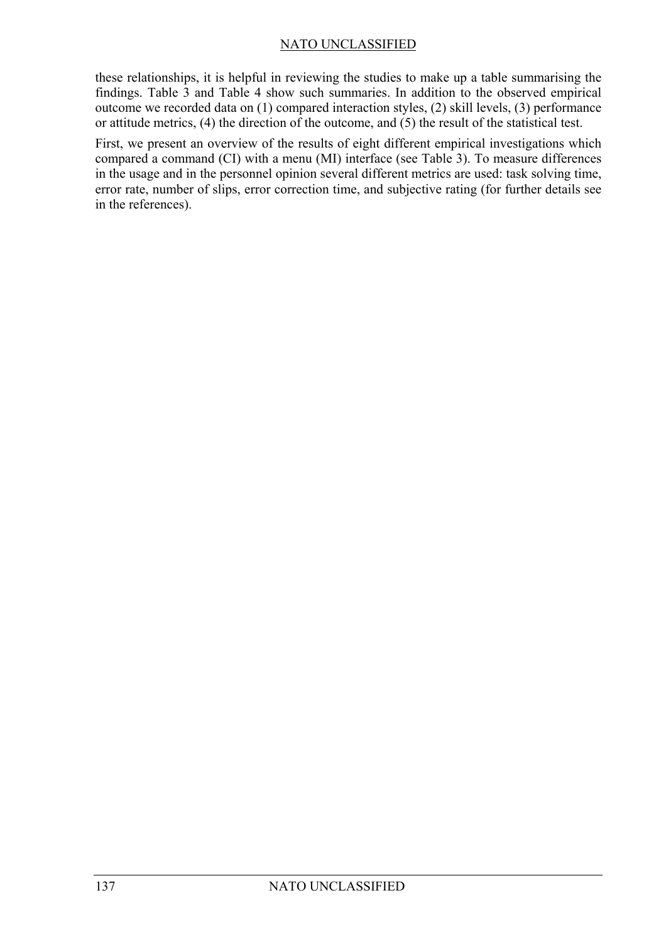these relationships, it is helpful in reviewing the studies to make up a table summarising the findings. Table 3 and Table 4 show such summaries. In addition to the observed empirical outcome we recorded data on (1) compared interaction styles, (2) skill levels, (3) performance or attitude metrics, (4) the direction of the outcome, and (5) the result of the statistical test.

First, we present an overview of the results of eight different empirical investigations which compared a command (CI) with a menu (MI) interface (see Table 3). To measure differences in the usage and in the personnel opinion several different metrics are used: task solving time, error rate, number of slips, error correction time, and subjective rating (for further details see in the references).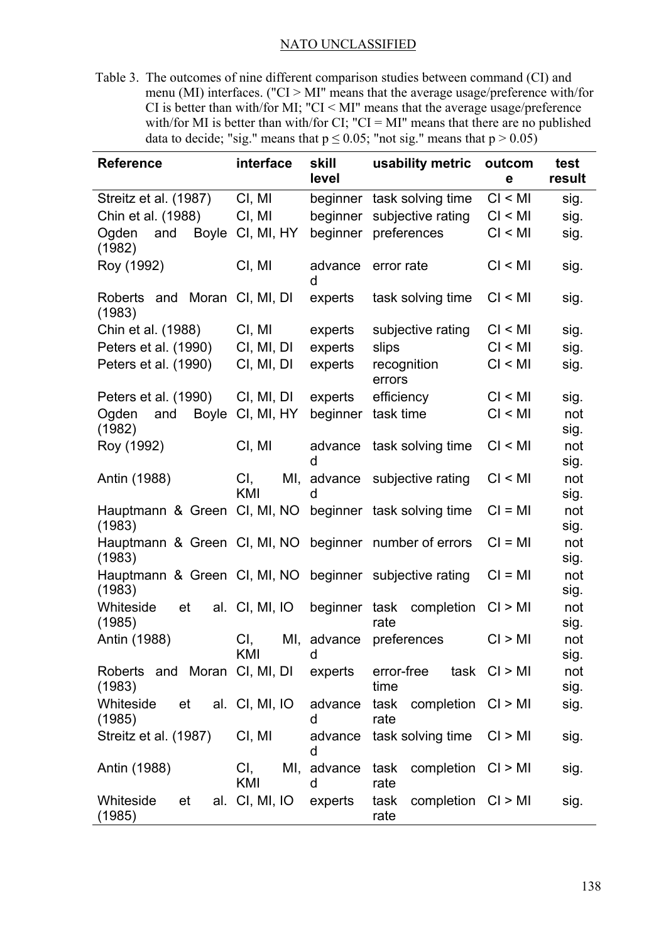Table 3. The outcomes of nine different comparison studies between command (CI) and menu (MI) interfaces. ("CI > MI" means that the average usage/preference with/for CI is better than with/for MI; "CI < MI" means that the average usage/preference with/for MI is better than with/for CI; "CI = MI" means that there are no published data to decide; "sig." means that  $p \le 0.05$ ; "not sig." means that  $p > 0.05$ )

| <b>Reference</b>                                | interface        | skill<br>level   | usability metric                   | outcom<br>е      | test<br>result |
|-------------------------------------------------|------------------|------------------|------------------------------------|------------------|----------------|
| Streitz et al. (1987)                           | CI, MI           | beginner         | task solving time                  | Cl < Ml          | sig.           |
| Chin et al. (1988)                              | CI, MI           | beginner         | subjective rating                  | Cl < Ml          | sig.           |
| <b>Boyle</b><br>Ogden<br>and<br>(1982)          | CI, MI, HY       | beginner         | preferences                        | Cl < Ml          | sig.           |
| Roy (1992)                                      | CI, MI           | advance<br>d     | error rate                         | Cl < Ml          | sig.           |
| Roberts and<br>(1983)                           | Moran CI, MI, DI | experts          | task solving time                  | CI < MI          | sig.           |
| Chin et al. (1988)                              | CI, MI           | experts          | subjective rating                  | CI < MI          | sig.           |
| Peters et al. (1990)                            | CI, MI, DI       | experts          | slips                              | CI < MI          | sig.           |
| Peters et al. (1990)                            | CI, MI, DI       | experts          | recognition<br>errors              | CI < MI          | sig.           |
| Peters et al. (1990)                            | CI, MI, DI       | experts          | efficiency                         | CI < MI          | sig.           |
| Ogden<br><b>Boyle</b><br>and<br>(1982)          | CI, MI, HY       | beginner         | task time                          | Cl < Ml          | not<br>sig.    |
| Roy (1992)                                      | CI, MI           | advance<br>d     | task solving time                  | Cl < Ml          | not<br>sig.    |
| Antin (1988)                                    | CI,<br>KMI       | MI, advance<br>U | subjective rating                  | CI < MI          | not<br>sig.    |
| Hauptmann & Green CI, MI, NO<br>(1983)          |                  |                  | beginner task solving time         | $CI = MI$        | not<br>sig.    |
| Hauptmann & Green CI, MI, NO<br>(1983)          |                  |                  | beginner number of errors          | $CI = MI$        | not<br>sig.    |
| Hauptmann & Green CI, MI, NO beginner<br>(1983) |                  |                  | subjective rating                  | $CI = MI$        | not<br>sig.    |
| Whiteside<br>et<br>(1985)                       | al. CI, MI, IO   | beginner         | task<br>completion<br>rate         | Cl > MI          | not<br>sig.    |
| Antin (1988)                                    | CI,<br>KMI       | MI, advance<br>d | preferences                        | CI > MI          | not<br>sig.    |
| Roberts and Moran CI, MI, DI<br>(1983)          |                  | experts          | error-free<br>time                 | $task$ $Cl > MI$ | not<br>sig.    |
| Whiteside<br>et<br>(1985)                       | al. CI, MI, IO   | advance<br>d     | task<br>completion CI > MI<br>rate |                  | sig.           |
| Streitz et al. (1987)                           | CI, MI           | advance<br>d     | task solving time                  | CI > MI          | sig.           |
| Antin (1988)                                    | CI,<br>KMI       | MI, advance<br>d | completion CI > MI<br>task<br>rate |                  | sig.           |
| Whiteside<br>et<br>(1985)                       | al. CI, MI, IO   | experts          | completion CI > MI<br>task<br>rate |                  | sig.           |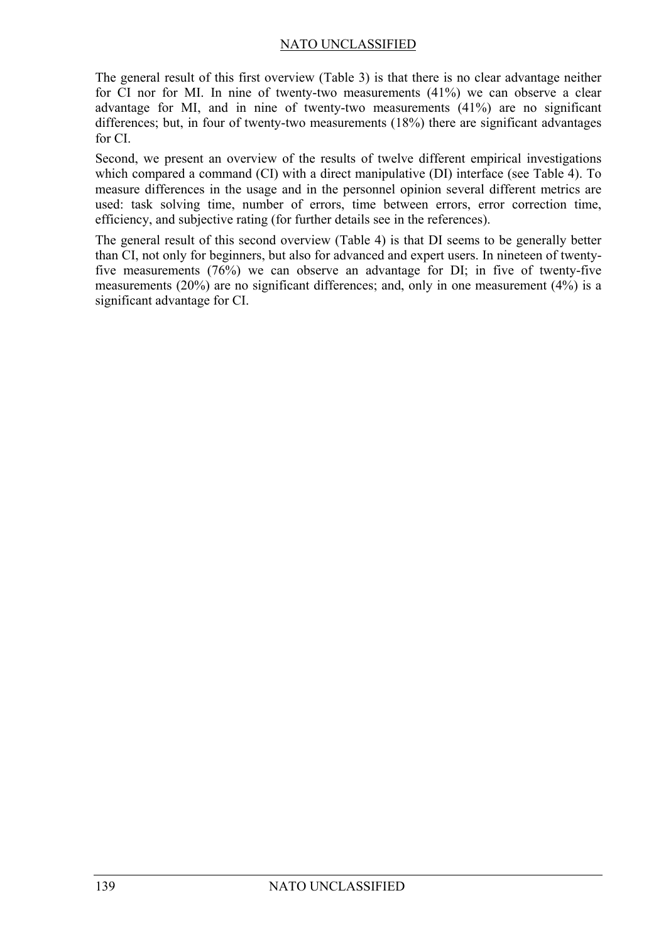The general result of this first overview (Table 3) is that there is no clear advantage neither for CI nor for MI. In nine of twenty-two measurements (41%) we can observe a clear advantage for MI, and in nine of twenty-two measurements (41%) are no significant differences; but, in four of twenty-two measurements (18%) there are significant advantages for CI.

Second, we present an overview of the results of twelve different empirical investigations which compared a command (CI) with a direct manipulative (DI) interface (see Table 4). To measure differences in the usage and in the personnel opinion several different metrics are used: task solving time, number of errors, time between errors, error correction time, efficiency, and subjective rating (for further details see in the references).

The general result of this second overview (Table 4) is that DI seems to be generally better than CI, not only for beginners, but also for advanced and expert users. In nineteen of twentyfive measurements (76%) we can observe an advantage for DI; in five of twenty-five measurements (20%) are no significant differences; and, only in one measurement (4%) is a significant advantage for CI.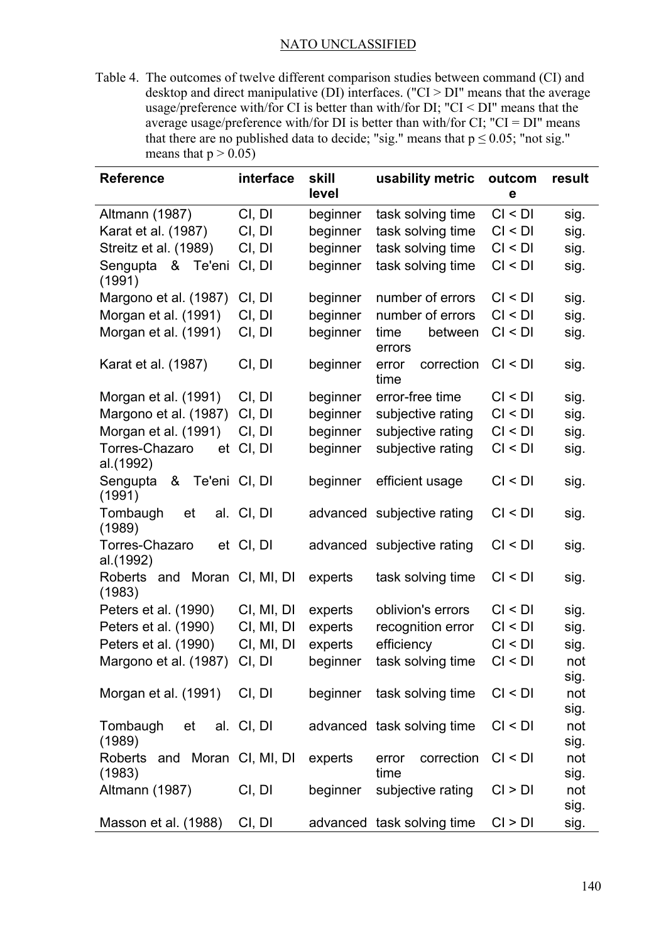Table 4. The outcomes of twelve different comparison studies between command (CI) and desktop and direct manipulative (DI) interfaces. ("CI > DI" means that the average usage/preference with/for CI is better than with/for DI; "CI < DI" means that the average usage/preference with/for DI is better than with/for CI;  $"CI = DI"$  means that there are no published data to decide; "sig." means that  $p \le 0.05$ ; "not sig." means that  $p > 0.05$ )

| <b>Reference</b>                         | interface  | skill<br>level | usability metric            | outcom<br>e | result      |
|------------------------------------------|------------|----------------|-----------------------------|-------------|-------------|
| Altmann (1987)                           | CI, DI     | beginner       | task solving time           | CI < DI     | sig.        |
| Karat et al. (1987)                      | CI, DI     | beginner       | task solving time           | CI < DI     | sig.        |
| Streitz et al. (1989)                    | CI, DI     | beginner       | task solving time           | Cl < DI     | sig.        |
| Sengupta<br>&<br>Te'eni<br>(1991)        | CI, DI     | beginner       | task solving time           | CI < DI     | sig.        |
| Margono et al. (1987)                    | CI, DI     | beginner       | number of errors            | Cl < DI     | sig.        |
| Morgan et al. (1991)                     | CI, DI     | beginner       | number of errors            | Cl < DI     | sig.        |
| Morgan et al. (1991)                     | CI, DI     | beginner       | time<br>between<br>errors   | Cl < DI     | sig.        |
| Karat et al. (1987)                      | CI, DI     | beginner       | correction<br>error<br>time | CI < DI     | sig.        |
| Morgan et al. (1991)                     | CI, DI     | beginner       | error-free time             | CI < DI     | sig.        |
| Margono et al. (1987)                    | CI, DI     | beginner       | subjective rating           | Cl < DI     | sig.        |
| Morgan et al. (1991)                     | CI, DI     | beginner       | subjective rating           | CI < DI     | sig.        |
| Torres-Chazaro<br>et<br>al.(1992)        | CI, DI     | beginner       | subjective rating           | CI < DI     | sig.        |
| Sengupta<br>&<br>Te'eni CI, DI<br>(1991) |            | beginner       | efficient usage             | CI < DI     | sig.        |
| Tombaugh<br>et<br>(1989)                 | al. CI, DI |                | advanced subjective rating  | Cl < DI     | sig.        |
| Torres-Chazaro<br>al.(1992)              | et CI, DI  |                | advanced subjective rating  | CI < DI     | sig.        |
| Roberts and Moran CI, MI, DI<br>(1983)   |            | experts        | task solving time           | CI < DI     | sig.        |
| Peters et al. (1990)                     | CI, MI, DI | experts        | oblivion's errors           | Cl < DI     | sig.        |
| Peters et al. (1990)                     | CI, MI, DI | experts        | recognition error           | CI < DI     | sig.        |
| Peters et al. (1990)                     | CI, MI, DI | experts        | efficiency                  | Cl < DI     | sig.        |
| Margono et al. (1987)                    | CI, DI     | beginner       | task solving time           | Cl < DI     | not         |
|                                          |            |                |                             |             | sig.        |
| Morgan et al. (1991) CI, DI              |            | beginner       | task solving time           | CI < DI     | not         |
|                                          |            |                |                             |             | sig.        |
| Tombaugh<br>et<br>(1989)                 | al. CI, DI |                | advanced task solving time  | CI < DI     | not<br>sig. |
| Roberts and Moran CI, MI, DI<br>(1983)   |            | experts        | correction<br>error<br>time | CI < DI     | not<br>sig. |
| Altmann (1987)                           | CI, DI     | beginner       | subjective rating           | CI > DI     | not         |
|                                          |            |                |                             |             | sig.        |
| Masson et al. (1988)                     | CI, DI     |                | advanced task solving time  | CI > DI     | sig.        |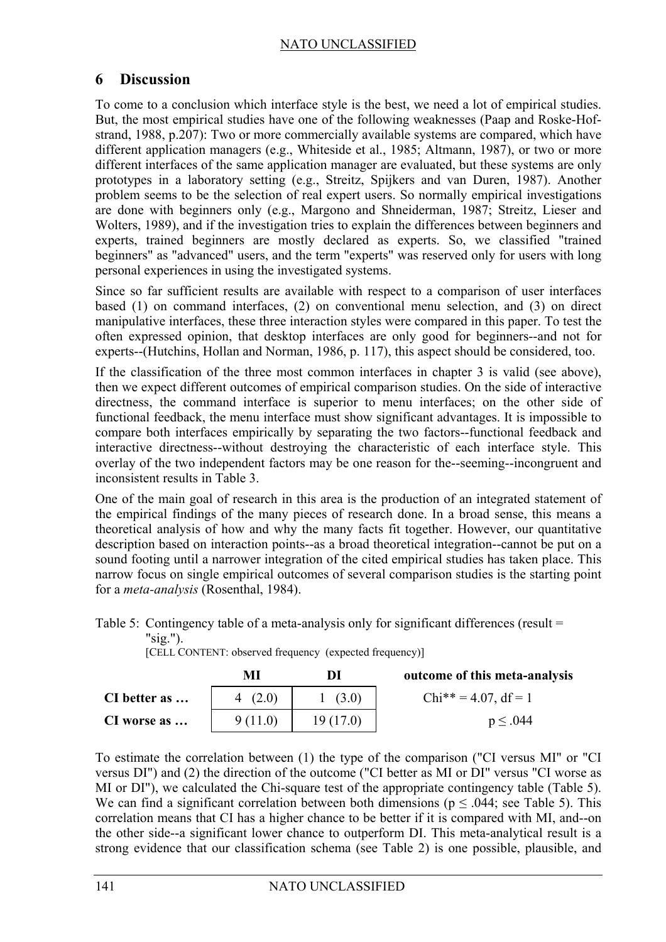# **6 Discussion**

To come to a conclusion which interface style is the best, we need a lot of empirical studies. But, the most empirical studies have one of the following weaknesses (Paap and Roske-Hofstrand, 1988, p.207): Two or more commercially available systems are compared, which have different application managers (e.g., Whiteside et al., 1985; Altmann, 1987), or two or more different interfaces of the same application manager are evaluated, but these systems are only prototypes in a laboratory setting (e.g., Streitz, Spijkers and van Duren, 1987). Another problem seems to be the selection of real expert users. So normally empirical investigations are done with beginners only (e.g., Margono and Shneiderman, 1987; Streitz, Lieser and Wolters, 1989), and if the investigation tries to explain the differences between beginners and experts, trained beginners are mostly declared as experts. So, we classified "trained beginners" as "advanced" users, and the term "experts" was reserved only for users with long personal experiences in using the investigated systems.

Since so far sufficient results are available with respect to a comparison of user interfaces based (1) on command interfaces, (2) on conventional menu selection, and (3) on direct manipulative interfaces, these three interaction styles were compared in this paper. To test the often expressed opinion, that desktop interfaces are only good for beginners--and not for experts--(Hutchins, Hollan and Norman, 1986, p. 117), this aspect should be considered, too.

If the classification of the three most common interfaces in chapter 3 is valid (see above), then we expect different outcomes of empirical comparison studies. On the side of interactive directness, the command interface is superior to menu interfaces; on the other side of functional feedback, the menu interface must show significant advantages. It is impossible to compare both interfaces empirically by separating the two factors--functional feedback and interactive directness--without destroying the characteristic of each interface style. This overlay of the two independent factors may be one reason for the--seeming--incongruent and inconsistent results in Table 3.

One of the main goal of research in this area is the production of an integrated statement of the empirical findings of the many pieces of research done. In a broad sense, this means a theoretical analysis of how and why the many facts fit together. However, our quantitative description based on interaction points--as a broad theoretical integration--cannot be put on a sound footing until a narrower integration of the cited empirical studies has taken place. This narrow focus on single empirical outcomes of several comparison studies is the starting point for a *meta-analysis* (Rosenthal, 1984).

Table 5: Contingency table of a meta-analysis only for significant differences (result =

| T T |  |
|-----|--|
|     |  |

[CELL CONTENT: observed frequency (expected frequency)]

|              | МI       | DI        | outcome of this meta-analysis |
|--------------|----------|-----------|-------------------------------|
| CI better as | (2.0)    | 1(3.0)    | $Chi^{**} = 4.07$ , df = 1    |
| CI worse as  | 9 (11.0) | 19 (17.0) | $p \leq .044$                 |

To estimate the correlation between (1) the type of the comparison ("CI versus MI" or "CI versus DI") and (2) the direction of the outcome ("CI better as MI or DI" versus "CI worse as MI or DI"), we calculated the Chi-square test of the appropriate contingency table (Table 5). We can find a significant correlation between both dimensions ( $p \le 0.044$ ; see Table 5). This correlation means that CI has a higher chance to be better if it is compared with MI, and--on the other side--a significant lower chance to outperform DI. This meta-analytical result is a strong evidence that our classification schema (see Table 2) is one possible, plausible, and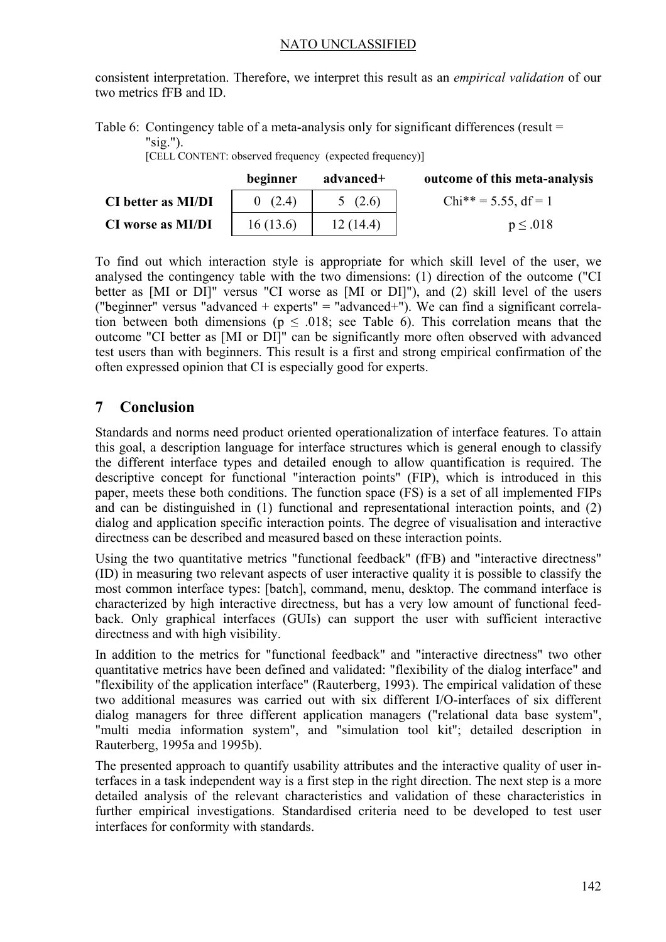consistent interpretation. Therefore, we interpret this result as an *empirical validation* of our two metrics fFB and ID.

Table 6: Contingency table of a meta-analysis only for significant differences (result = "sig.").

[CELL CONTENT: observed frequency (expected frequency)]

|                           | beginner | advanced+ | outcome of this meta-analysis |
|---------------------------|----------|-----------|-------------------------------|
| <b>CI</b> better as MI/DI | 0(2.4)   | 5(2.6)    | $Chi^{**} = 5.55$ , df = 1    |
| <b>CI</b> worse as MI/DI  | 16(13.6) | 12(14.4)  | $p \leq .018$                 |

To find out which interaction style is appropriate for which skill level of the user, we analysed the contingency table with the two dimensions: (1) direction of the outcome ("CI better as [MI or DI]" versus "CI worse as [MI or DI]"), and (2) skill level of the users ("beginner" versus "advanced + experts" = "advanced+"). We can find a significant correlation between both dimensions ( $p \le 0.018$ ; see Table 6). This correlation means that the outcome "CI better as [MI or DI]" can be significantly more often observed with advanced test users than with beginners. This result is a first and strong empirical confirmation of the often expressed opinion that CI is especially good for experts.

# **7 Conclusion**

Standards and norms need product oriented operationalization of interface features. To attain this goal, a description language for interface structures which is general enough to classify the different interface types and detailed enough to allow quantification is required. The descriptive concept for functional "interaction points" (FIP), which is introduced in this paper, meets these both conditions. The function space (FS) is a set of all implemented FIPs and can be distinguished in (1) functional and representational interaction points, and (2) dialog and application specific interaction points. The degree of visualisation and interactive directness can be described and measured based on these interaction points.

Using the two quantitative metrics "functional feedback" (fFB) and "interactive directness" (ID) in measuring two relevant aspects of user interactive quality it is possible to classify the most common interface types: [batch], command, menu, desktop. The command interface is characterized by high interactive directness, but has a very low amount of functional feedback. Only graphical interfaces (GUIs) can support the user with sufficient interactive directness and with high visibility.

In addition to the metrics for "functional feedback" and "interactive directness" two other quantitative metrics have been defined and validated: "flexibility of the dialog interface" and "flexibility of the application interface" (Rauterberg, 1993). The empirical validation of these two additional measures was carried out with six different I/O-interfaces of six different dialog managers for three different application managers ("relational data base system", "multi media information system", and "simulation tool kit"; detailed description in Rauterberg, 1995a and 1995b).

The presented approach to quantify usability attributes and the interactive quality of user interfaces in a task independent way is a first step in the right direction. The next step is a more detailed analysis of the relevant characteristics and validation of these characteristics in further empirical investigations. Standardised criteria need to be developed to test user interfaces for conformity with standards.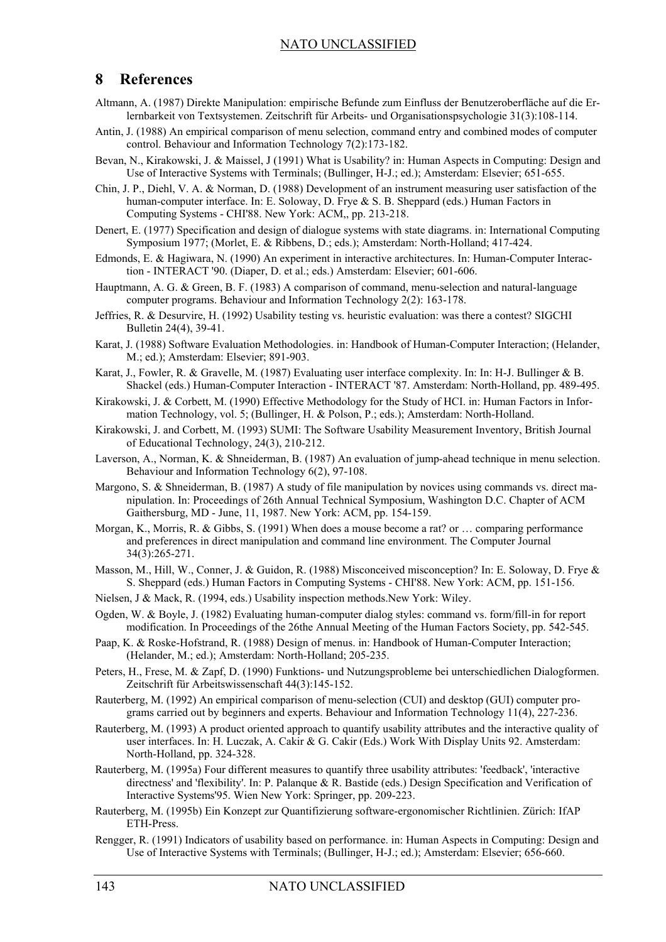### **8 References**

- Altmann, A. (1987) Direkte Manipulation: empirische Befunde zum Einfluss der Benutzeroberfläche auf die Erlernbarkeit von Textsystemen. Zeitschrift für Arbeits- und Organisationspsychologie 31(3):108-114.
- Antin, J. (1988) An empirical comparison of menu selection, command entry and combined modes of computer control. Behaviour and Information Technology 7(2):173-182.
- Bevan, N., Kirakowski, J. & Maissel, J (1991) What is Usability? in: Human Aspects in Computing: Design and Use of Interactive Systems with Terminals; (Bullinger, H-J.; ed.); Amsterdam: Elsevier; 651-655.
- Chin, J. P., Diehl, V. A. & Norman, D. (1988) Development of an instrument measuring user satisfaction of the human-computer interface. In: E. Soloway, D. Frye & S. B. Sheppard (eds.) Human Factors in Computing Systems - CHI'88. New York: ACM,, pp. 213-218.
- Denert, E. (1977) Specification and design of dialogue systems with state diagrams. in: International Computing Symposium 1977; (Morlet, E. & Ribbens, D.; eds.); Amsterdam: North-Holland; 417-424.
- Edmonds, E. & Hagiwara, N. (1990) An experiment in interactive architectures. In: Human-Computer Interaction - INTERACT '90. (Diaper, D. et al.; eds.) Amsterdam: Elsevier; 601-606.
- Hauptmann, A. G. & Green, B. F. (1983) A comparison of command, menu-selection and natural-language computer programs. Behaviour and Information Technology 2(2): 163-178.
- Jeffries, R. & Desurvire, H. (1992) Usability testing vs. heuristic evaluation: was there a contest? SIGCHI Bulletin 24(4), 39-41.
- Karat, J. (1988) Software Evaluation Methodologies. in: Handbook of Human-Computer Interaction; (Helander, M.; ed.); Amsterdam: Elsevier; 891-903.
- Karat, J., Fowler, R. & Gravelle, M. (1987) Evaluating user interface complexity. In: In: H-J. Bullinger & B. Shackel (eds.) Human-Computer Interaction - INTERACT '87. Amsterdam: North-Holland, pp. 489-495.
- Kirakowski, J. & Corbett, M. (1990) Effective Methodology for the Study of HCI. in: Human Factors in Information Technology, vol. 5; (Bullinger, H. & Polson, P.; eds.); Amsterdam: North-Holland.
- Kirakowski, J. and Corbett, M. (1993) SUMI: The Software Usability Measurement Inventory, British Journal of Educational Technology, 24(3), 210-212.
- Laverson, A., Norman, K. & Shneiderman, B. (1987) An evaluation of jump-ahead technique in menu selection. Behaviour and Information Technology 6(2), 97-108.
- Margono, S. & Shneiderman, B. (1987) A study of file manipulation by novices using commands vs. direct manipulation. In: Proceedings of 26th Annual Technical Symposium, Washington D.C. Chapter of ACM Gaithersburg, MD - June, 11, 1987. New York: ACM, pp. 154-159.
- Morgan, K., Morris, R. & Gibbs, S. (1991) When does a mouse become a rat? or … comparing performance and preferences in direct manipulation and command line environment. The Computer Journal 34(3):265-271.
- Masson, M., Hill, W., Conner, J. & Guidon, R. (1988) Misconceived misconception? In: E. Soloway, D. Frye & S. Sheppard (eds.) Human Factors in Computing Systems - CHI'88. New York: ACM, pp. 151-156.
- Nielsen, J & Mack, R. (1994, eds.) Usability inspection methods.New York: Wiley.
- Ogden, W. & Boyle, J. (1982) Evaluating human-computer dialog styles: command vs. form/fill-in for report modification. In Proceedings of the 26the Annual Meeting of the Human Factors Society, pp. 542-545.
- Paap, K. & Roske-Hofstrand, R. (1988) Design of menus. in: Handbook of Human-Computer Interaction; (Helander, M.; ed.); Amsterdam: North-Holland; 205-235.
- Peters, H., Frese, M. & Zapf, D. (1990) Funktions- und Nutzungsprobleme bei unterschiedlichen Dialogformen. Zeitschrift für Arbeitswissenschaft 44(3):145-152.
- Rauterberg, M. (1992) An empirical comparison of menu-selection (CUI) and desktop (GUI) computer programs carried out by beginners and experts. Behaviour and Information Technology 11(4), 227-236.
- Rauterberg, M. (1993) A product oriented approach to quantify usability attributes and the interactive quality of user interfaces. In: H. Luczak, A. Cakir & G. Cakir (Eds.) Work With Display Units 92. Amsterdam: North-Holland, pp. 324-328.
- Rauterberg, M. (1995a) Four different measures to quantify three usability attributes: 'feedback', 'interactive directness' and 'flexibility'. In: P. Palanque & R. Bastide (eds.) Design Specification and Verification of Interactive Systems'95. Wien New York: Springer, pp. 209-223.
- Rauterberg, M. (1995b) Ein Konzept zur Quantifizierung software-ergonomischer Richtlinien. Zürich: IfAP ETH-Press.
- Rengger, R. (1991) Indicators of usability based on performance. in: Human Aspects in Computing: Design and Use of Interactive Systems with Terminals; (Bullinger, H-J.; ed.); Amsterdam: Elsevier; 656-660.